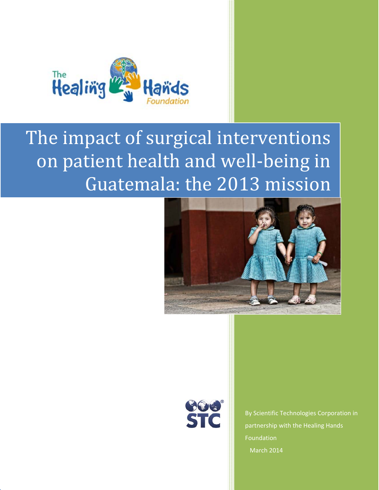

# The impact of surgical interventions on patient health and well-being in Guatemala: the 2013 mission





By Scientific Technologies Corporation in partnership with the Healing Hands Foundation March 2014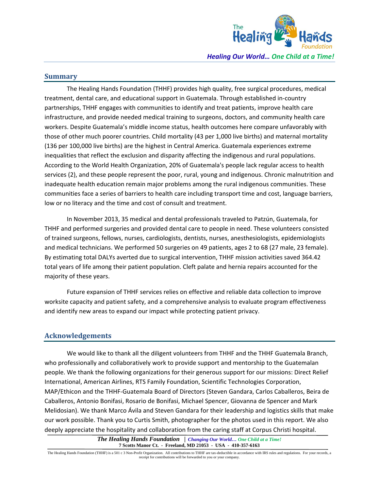

**Summary**

The Healing Hands Foundation (THHF) provides high quality, free surgical procedures, medical treatment, dental care, and educational support in Guatemala. Through established in‐country partnerships, THHF engages with communities to identify and treat patients, improve health care infrastructure, and provide needed medical training to surgeons, doctors, and community health care workers. Despite Guatemala's middle income status, health outcomes here compare unfavorably with those of other much poorer countries. Child mortality (43 per 1,000 live births) and maternal mortality (136 per 100,000 live births) are the highest in Central America. Guatemala experiences extreme inequalities that reflect the exclusion and disparity affecting the indigenous and rural populations. According to the World Health Organization, 20% of Guatemala's people lack regular access to health services (2), and these people represent the poor, rural, young and indigenous. Chronic malnutrition and inadequate health education remain major problems among the rural indigenous communities. These communities face a series of barriers to health care including transport time and cost, language barriers, low or no literacy and the time and cost of consult and treatment.

In November 2013, 35 medical and dental professionals traveled to Patzún, Guatemala, for THHF and performed surgeries and provided dental care to people in need. These volunteers consisted of trained surgeons, fellows, nurses, cardiologists, dentists, nurses, anesthesiologists, epidemiologists and medical technicians. We performed 50 surgeries on 49 patients, ages 2 to 68 (27 male, 23 female). By estimating total DALYs averted due to surgical intervention, THHF mission activities saved 364.42 total years of life among their patient population. Cleft palate and hernia repairs accounted for the majority of these years.

Future expansion of THHF services relies on effective and reliable data collection to improve worksite capacity and patient safety, and a comprehensive analysis to evaluate program effectiveness and identify new areas to expand our impact while protecting patient privacy.

## **Acknowledgements**

We would like to thank all the diligent volunteers from THHF and the THHF Guatemala Branch, who professionally and collaboratively work to provide support and mentorship to the Guatemalan people. We thank the following organizations for their generous support for our missions: Direct Relief International, American Airlines, RTS Family Foundation, Scientific Technologies Corporation, MAP/Ethicon and the THHF‐Guatemala Board of Directors (Steven Gandara, Carlos Caballeros, Beira de Caballeros, Antonio Bonifasi, Rosario de Bonifasi, Michael Spencer, Giovanna de Spencer and Mark Melidosian). We thank Marco Ávila and Steven Gandara for their leadership and logistics skills that make our work possible. Thank you to Curtis Smith, photographer for the photos used in this report. We also deeply appreciate the hospitality and collaboration from the caring staff at Corpus Christi hospital.

> *The Healing Hands Foundation* **|** *Changing Our World… One Child at a Time!* **7 Scotts Manor Ct. - Freeland, MD 21053 - USA - 410-357-6163**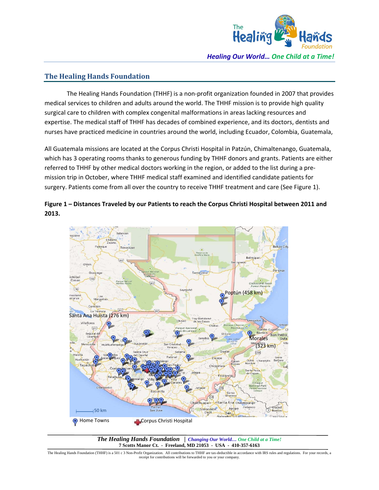

## **The Healing Hands Foundation**

The Healing Hands Foundation (THHF) is a non‐profit organization founded in 2007 that provides medical services to children and adults around the world. The THHF mission is to provide high quality surgical care to children with complex congenital malformations in areas lacking resources and expertise. The medical staff of THHF has decades of combined experience, and its doctors, dentists and nurses have practiced medicine in countries around the world, including Ecuador, Colombia, Guatemala,

All Guatemala missions are located at the Corpus Christi Hospital in Patzún, Chimaltenango, Guatemala, which has 3 operating rooms thanks to generous funding by THHF donors and grants. Patients are either referred to THHF by other medical doctors working in the region, or added to the list during a pre‐ mission trip in October, where THHF medical staff examined and identified candidate patients for surgery. Patients come from all over the country to receive THHF treatment and care (See Figure 1).

**Figure 1 – Distances Traveled by our Patients to reach the Corpus Christi Hospital between 2011 and 2013.**



*The Healing Hands Foundation* **|** *Changing Our World… One Child at a Time!* **7 Scotts Manor Ct. - Freeland, MD 21053 - USA - 410-357-6163**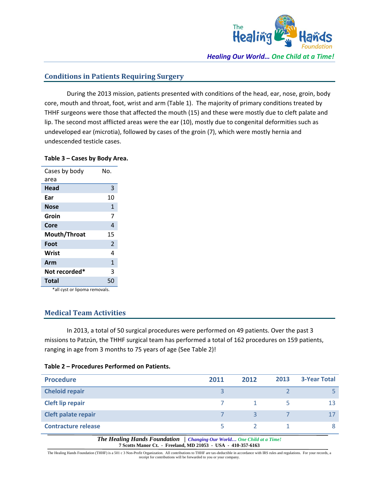

## **Conditions in Patients Requiring Surgery**

During the 2013 mission, patients presented with conditions of the head, ear, nose, groin, body core, mouth and throat, foot, wrist and arm (Table 1). The majority of primary conditions treated by THHF surgeons were those that affected the mouth (15) and these were mostly due to cleft palate and lip. The second most afflicted areas were the ear (10), mostly due to congenital deformities such as undeveloped ear (microtia), followed by cases of the groin (7), which were mostly hernia and undescended testicle cases.

#### **Table 3 – Cases by Body Area.**

| Cases by body | N٥.            |
|---------------|----------------|
| area          |                |
| Head          | 3              |
| Far           | 10             |
| Nose          | 1              |
| Groin         | 7              |
| Core          | 4              |
| Mouth/Throat  | 15             |
| Foot          | $\overline{2}$ |
| Wrist         | 4              |
| Arm           | 1              |
| Not recorded* | 3              |
| Total         | 50             |
|               |                |

\*all cyst or lipoma removals.

## **Medical Team Activities**

In 2013, a total of 50 surgical procedures were performed on 49 patients. Over the past 3 missions to Patzún, the THHF surgical team has performed a total of 162 procedures on 159 patients, ranging in age from 3 months to 75 years of age (See Table 2)!

| <b>Procedure</b>           | 2011 | 2012 | 2013 | <b>3-Year Total</b> |
|----------------------------|------|------|------|---------------------|
| <b>Cheloid repair</b>      |      |      |      |                     |
| <b>Cleft lip repair</b>    |      |      | 5    | 13                  |
| Cleft palate repair        |      | 3    |      | 17                  |
| <b>Contracture release</b> |      |      |      | 8                   |

#### **Table 2 – Procedures Performed on Patients.**

*The Healing Hands Foundation* **|** *Changing Our World… One Child at a Time!* **7 Scotts Manor Ct. - Freeland, MD 21053 - USA - 410-357-6163**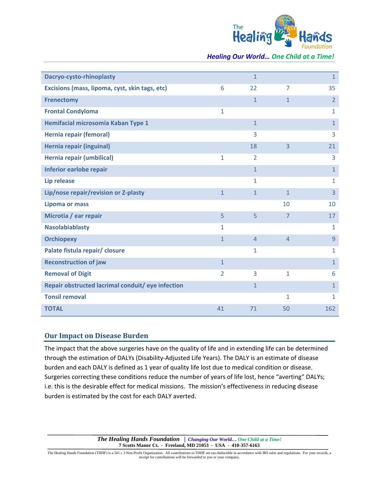

*Healing Our World… One Child at a Time!*

| Dacryo-cysto-rhinoplasty                          |                | $\overline{1}$ |                | $\mathbf{1}$   |
|---------------------------------------------------|----------------|----------------|----------------|----------------|
| Excisions (mass, lipoma, cyst, skin tags, etc)    | 6              | 22             | $\overline{7}$ | 35             |
| <b>Frenectomy</b>                                 |                | $\mathbf{1}$   | $\mathbf{1}$   | $\overline{2}$ |
| <b>Frontal Condyloma</b>                          | 1              |                |                | $\mathbf{1}$   |
| Hemifacial microsomia Kaban Type 1                |                | $\mathbf{1}$   |                | $\mathbf{1}$   |
| Hernia repair (femoral)                           |                | 3              |                | 3              |
| <b>Hernia repair (inguinal)</b>                   |                | 18             | 3              | 21             |
| Hernia repair (umbilical)                         | 1              | $\overline{2}$ |                | 3              |
| Inferior earlobe repair                           |                | $\mathbf{1}$   |                | $\overline{1}$ |
| <b>Lip release</b>                                |                | 1              |                | $\mathbf{1}$   |
| Lip/nose repair/revision or Z-plasty              | $\overline{1}$ | $\mathbf{1}$   | $\mathbf{1}$   | 3              |
| <b>Lipoma or mass</b>                             |                |                | 10             | 10             |
| Microtia / ear repair                             | 5              | 5              | $\overline{7}$ | 17             |
| <b>Nasolabiablasty</b>                            | 1              |                |                | $\mathbf{1}$   |
| <b>Orchiopexy</b>                                 | $\mathbf{1}$   | $\overline{4}$ | $\overline{4}$ | 9              |
| Palate fistula repair/ closure                    |                | $\mathbf{1}$   |                | $\mathbf{1}$   |
| <b>Reconstruction of jaw</b>                      | $\mathbf{1}$   |                |                | $\mathbf{1}$   |
| <b>Removal of Digit</b>                           | 2              | 3              | $\mathbf{1}$   | 6              |
| Repair obstructed lacrimal conduit/ eye infection |                | $\mathbf{1}$   |                | $\mathbf{1}$   |
| <b>Tonsil removal</b>                             |                |                | 1              | $\mathbf{1}$   |
| <b>TOTAL</b>                                      | 41             | 71             | 50             | 162            |

### **Our Impact on Disease Burden**

The impact that the above surgeries have on the quality of life and in extending life can be determined through the estimation of DALYs (Disability‐Adjusted Life Years). The DALY is an estimate of disease burden and each DALY is defined as 1 year of quality life lost due to medical condition or disease. Surgeries correcting these conditions reduce the number of years of life lost, hence "averting" DALYs; i.e. this is the desirable effect for medical missions. The mission's effectiveness in reducing disease burden is estimated by the cost for each DALY averted.

> *The Healing Hands Foundation* **|** *Changing Our World… One Child at a Time!* **7 Scotts Manor Ct. - Freeland, MD 21053 - USA - 410-357-6163**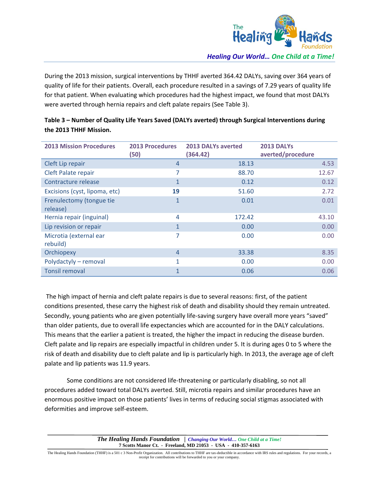

During the 2013 mission, surgical interventions by THHF averted 364.42 DALYs, saving over 364 years of quality of life for their patients. Overall, each procedure resulted in a savings of 7.29 years of quality life for that patient. When evaluating which procedures had the highest impact, we found that most DALYs were averted through hernia repairs and cleft palate repairs (See Table 3).

| <b>2013 Mission Procedures</b>       | <b>2013 Procedures</b><br>(50) | <b>2013 DALYs averted</b><br>(364.42) | <b>2013 DALYS</b><br>averted/procedure |
|--------------------------------------|--------------------------------|---------------------------------------|----------------------------------------|
| Cleft Lip repair                     | $\overline{4}$                 | 18.13                                 | 4.53                                   |
| Cleft Palate repair                  | 7                              | 88.70                                 | 12.67                                  |
| Contracture release                  | $\mathbf{1}$                   | 0.12                                  | 0.12                                   |
| Excisions (cyst, lipoma, etc)        | 19                             | 51.60                                 | 2.72                                   |
| Frenulectomy (tongue tie<br>release) | $\mathbf{1}$                   | 0.01                                  | 0.01                                   |
| Hernia repair (inguinal)             | 4                              | 172.42                                | 43.10                                  |
| Lip revision or repair               | $\mathbf{1}$                   | 0.00                                  | 0.00                                   |
| Microtia (external ear<br>rebuild)   | 7                              | 0.00                                  | 0.00                                   |
| Orchiopexy                           | $\overline{4}$                 | 33.38                                 | 8.35                                   |
| Polydactyly - removal                | $\mathbf{1}$                   | 0.00                                  | 0.00                                   |
| <b>Tonsil removal</b>                | $\mathbf{1}$                   | 0.06                                  | 0.06                                   |

## **Table 3 – Number of Quality Life Years Saved (DALYs averted) through Surgical Interventions during the 2013 THHF Mission.**

The high impact of hernia and cleft palate repairs is due to several reasons: first, of the patient conditions presented, these carry the highest risk of death and disability should they remain untreated. Secondly, young patients who are given potentially life‐saving surgery have overall more years "saved" than older patients, due to overall life expectancies which are accounted for in the DALY calculations. This means that the earlier a patient is treated, the higher the impact in reducing the disease burden. Cleft palate and lip repairs are especially impactful in children under 5. It is during ages 0 to 5 where the risk of death and disability due to cleft palate and lip is particularly high. In 2013, the average age of cleft palate and lip patients was 11.9 years.

Some conditions are not considered life‐threatening or particularly disabling, so not all procedures added toward total DALYs averted. Still, microtia repairs and similar procedures have an enormous positive impact on those patients' lives in terms of reducing social stigmas associated with deformities and improve self‐esteem.

> *The Healing Hands Foundation* **|** *Changing Our World… One Child at a Time!* **7 Scotts Manor Ct. - Freeland, MD 21053 - USA - 410-357-6163**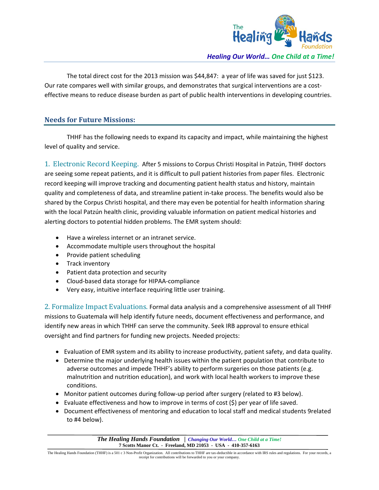

The total direct cost for the 2013 mission was \$44,847: a year of life was saved for just \$123. Our rate compares well with similar groups, and demonstrates that surgical interventions are a cost‐ effective means to reduce disease burden as part of public health interventions in developing countries.

## **Needs for Future Missions:**

THHF has the following needs to expand its capacity and impact, while maintaining the highest level of quality and service.

1. Electronic Record Keeping. After 5 missions to Corpus Christi Hospital in Patzún, THHF doctors are seeing some repeat patients, and it is difficult to pull patient histories from paper files. Electronic record keeping will improve tracking and documenting patient health status and history, maintain quality and completeness of data, and streamline patient in‐take process. The benefits would also be shared by the Corpus Christi hospital, and there may even be potential for health information sharing with the local Patzún health clinic, providing valuable information on patient medical histories and alerting doctors to potential hidden problems. The EMR system should:

- Have a wireless internet or an intranet service.
- Accommodate multiple users throughout the hospital
- Provide patient scheduling
- Track inventory
- Patient data protection and security
- Cloud-based data storage for HIPAA-compliance
- Very easy, intuitive interface requiring little user training.

2. Formalize Impact Evaluations. Formal data analysis and a comprehensive assessment of all THHF missions to Guatemala will help identify future needs, document effectiveness and performance, and identify new areas in which THHF can serve the community. Seek IRB approval to ensure ethical oversight and find partners for funding new projects. Needed projects:

- Evaluation of EMR system and its ability to increase productivity, patient safety, and data quality.
- Determine the major underlying health issues within the patient population that contribute to adverse outcomes and impede THHF's ability to perform surgeries on those patients (e.g. malnutrition and nutrition education), and work with local health workers to improve these conditions.
- Monitor patient outcomes during follow-up period after surgery (related to #3 below).
- $\bullet$  Evaluate effectiveness and how to improve in terms of cost (\$) per year of life saved.
- Document effectiveness of mentoring and education to local staff and medical students 9related to #4 below).

*The Healing Hands Foundation* **|** *Changing Our World… One Child at a Time!* **7 Scotts Manor Ct. - Freeland, MD 21053 - USA - 410-357-6163**